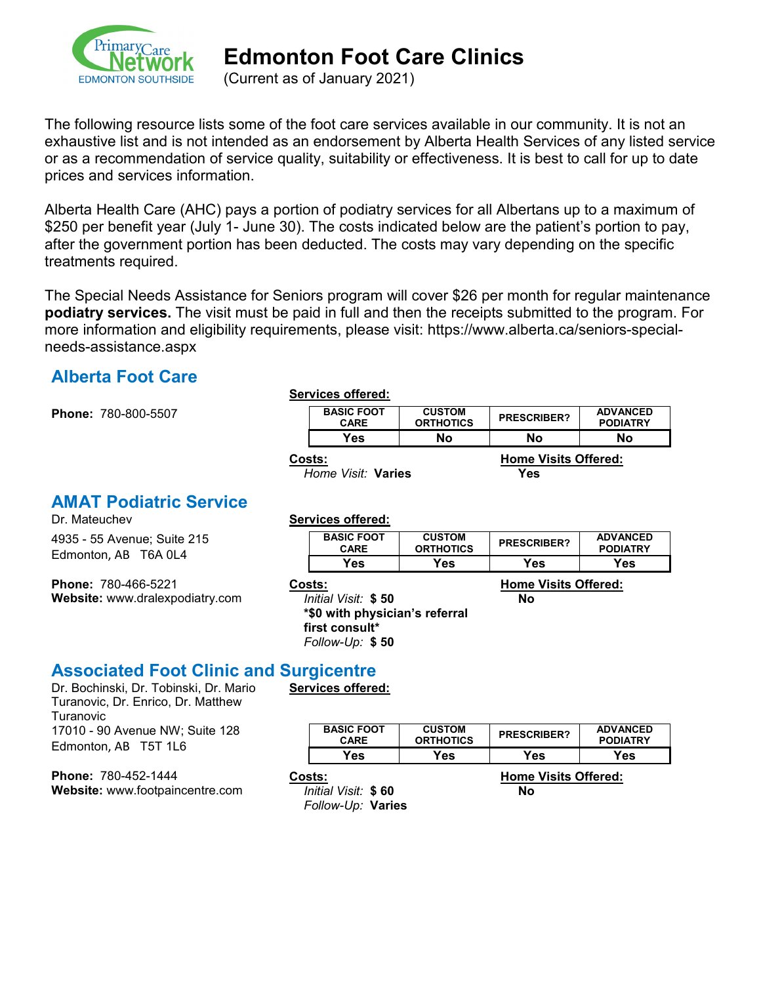

(Current as of January 2021)

The following resource lists some of the foot care services available in our community. It is not an exhaustive list and is not intended as an endorsement by Alberta Health Services of any listed service or as a recommendation of service quality, suitability or effectiveness. It is best to call for up to date prices and services information.

Alberta Health Care (AHC) pays a portion of podiatry services for all Albertans up to a maximum of \$250 per benefit year (July 1- June 30). The costs indicated below are the patient's portion to pay, after the government portion has been deducted. The costs may vary depending on the specific treatments required.

The Special Needs Assistance for Seniors program will cover \$26 per month for regular maintenance **podiatry services.** The visit must be paid in full and then the receipts submitted to the program. For more information and eligibility requirements, please visit: https://www.alberta.ca/seniors-specialneeds-assistance.aspx

#### **Alberta Foot Care**

**Phone: 780-800-5507** 

|--|

| <b>BASIC FOOT</b> | <b>CUSTOM</b>    | <b>PRESCRIBER?</b> | <b>ADVANCED</b> |
|-------------------|------------------|--------------------|-----------------|
| <b>CARE</b>       | <b>ORTHOTICS</b> |                    | <b>PODIATRY</b> |
| Yes               | Nο               | Nο                 | Nο              |

**Home Visit: Varies** 

**Costs: Home Visits Offered:**

## **AMAT Podiatric Service**<br>Dr. Mateuchev

4935 - 55 Avenue; Suite 215 Edmonton, AB T6A 0L4

**Phone:** 780-466-5221 **Website:** www.dralexpodiatry.com

#### **Services offered:**

**Services offered:**

| <b>BASIC FOOT</b><br><b>CARE</b> | <b>CUSTOM</b><br><b>ORTHOTICS</b> | <b>PRESCRIBER?</b> | <b>ADVANCED</b><br><b>PODIATRY</b> |
|----------------------------------|-----------------------------------|--------------------|------------------------------------|
| Yes.                             | Yes                               | Yes                | Yes                                |
|                                  |                                   |                    |                                    |

*Initial Visit:* **\$ 50 \*\$0 with physician's referral first consult\***

#### **Costs: Home Visits Offered: No**

*Follow-Up:* **\$ 50**

#### **Associated Foot Clinic and Surgicentre**

Dr. Bochinski, Dr. Tobinski, Dr. Mario Turanovic, Dr. Enrico, Dr. Matthew Turanovic 17010 - 90 Avenue NW; Suite 128 Edmonton, AB T5T 1L6

**Phone:** 780-452-1444 **Website:** www.footpaincentre.com

| <b>BASIC FOOT</b><br><b>CARE</b> | <b>CUSTOM</b><br><b>ORTHOTICS</b> | <b>PRESCRIBER?</b>          | <b>ADVANCED</b><br><b>PODIATRY</b> |
|----------------------------------|-----------------------------------|-----------------------------|------------------------------------|
| Yes                              | Yes                               | Yes                         | Yes                                |
| Costs:                           |                                   | <b>Home Visits Offered:</b> |                                    |
| Initial Visit: \$60              |                                   | Nο                          |                                    |

*Follow-Up:* **Varies**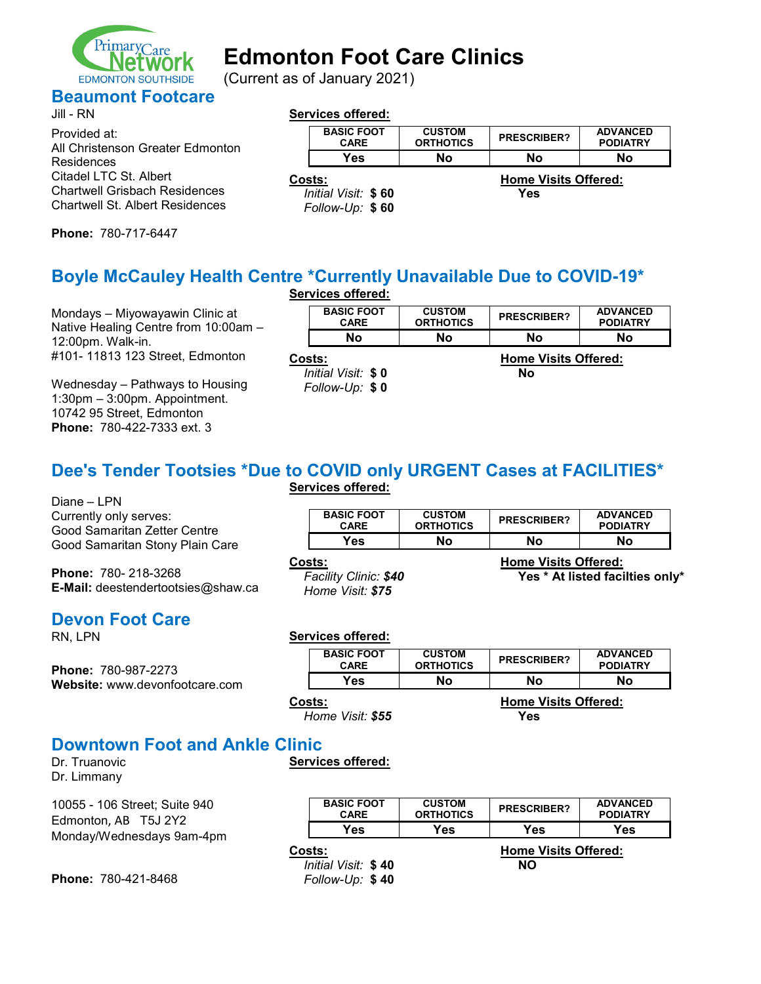

(Current as of January 2021)

### **Beaumont Footcare**

| Jill - RN                                                                      | <b>Services offered:</b>               |                                   |                             |                                    |
|--------------------------------------------------------------------------------|----------------------------------------|-----------------------------------|-----------------------------|------------------------------------|
| Provided at:<br>All Christenson Greater Edmonton                               | <b>BASIC FOOT</b><br><b>CARE</b>       | <b>CUSTOM</b><br><b>ORTHOTICS</b> | <b>PRESCRIBER?</b>          | <b>ADVANCED</b><br><b>PODIATRY</b> |
| Residences                                                                     | Yes                                    | No.                               | No                          | No                                 |
| Citadel LTC St. Albert                                                         | Costs:                                 |                                   | <b>Home Visits Offered:</b> |                                    |
| <b>Chartwell Grisbach Residences</b><br><b>Chartwell St. Albert Residences</b> | Initial Visit: \$60<br>Follow-Up: \$60 |                                   | Yes                         |                                    |

**Phone:** 780-717-6447

#### **Boyle McCauley Health Centre \*Currently Unavailable Due to COVID-19\* Services offered:**

|                                                                         | JULIUS UIUUU.                        |                                   |                             |                                    |
|-------------------------------------------------------------------------|--------------------------------------|-----------------------------------|-----------------------------|------------------------------------|
| Mondays - Miyowayawin Clinic at<br>Native Healing Centre from 10:00am - | <b>BASIC FOOT</b><br><b>CARE</b>     | <b>CUSTOM</b><br><b>ORTHOTICS</b> | <b>PRESCRIBER?</b>          | <b>ADVANCED</b><br><b>PODIATRY</b> |
| 12:00pm. Walk-in.                                                       | No                                   | No.                               | No                          | No                                 |
| #101-11813 123 Street, Edmonton                                         | Costs:                               |                                   | <b>Home Visits Offered:</b> |                                    |
| Wednesday - Pathways to Housing                                         | Initial Visit: \$0<br>Follow-Up: \$0 |                                   | No                          |                                    |

#### **Dee's Tender Tootsies \*Due to COVID only URGENT Cases at FACILITIES\* Services offered:**

Diane – LPN Currently only serves: Good Samaritan Zetter Centre Good Samaritan Stony Plain Care

1:30pm – 3:00pm. Appointment. 10742 95 Street, Edmonton **Phone:** 780-422-7333 ext. 3

**Phone:** 780- 218-3268 **E-Mail:** deestendertootsies@shaw.ca

# **Devon Foot Care**<br>RN, LPN

**Phone:** 780-987-2273 **Website:** www.devonfootcare.com

| <b>BASIC FOOT</b> | <b>CUSTOM</b>    | <b>PRESCRIBER?</b> | <b>ADVANCED</b> |
|-------------------|------------------|--------------------|-----------------|
| CARF              | <b>ORTHOTICS</b> |                    | <b>PODIATRY</b> |
| <sup>∨</sup> es∶  | Nο               | No                 | No              |

*Facility Clinic: \$40 Home Visit: \$75*

**Costs: Home Visits Offered: Yes \* At listed facilties only\***

Services offered:

| <b>BASIC FOOT</b><br><b>CARE</b> | <b>CUSTOM</b><br><b>ORTHOTICS</b> | <b>PRESCRIBER?</b>                        | <b>ADVANCED</b><br><b>PODIATRY</b> |
|----------------------------------|-----------------------------------|-------------------------------------------|------------------------------------|
| Yes                              | Nο                                | No                                        | No                                 |
| Costs:<br>Home Visit: \$55       |                                   | <b>Home Visits Offered:</b><br><b>Yes</b> |                                    |

#### **Downtown Foot and Ankle Clinic**

**Services offered:**

Dr. Truanovic Dr. Limmany

10055 - 106 Street; Suite 940 Edmonton, AB T5J 2Y2 Monday/Wednesdays 9am-4pm

| <b>BASIC FOOT</b><br><b>CARE</b> | <b>CUSTOM</b><br><b>ORTHOTICS</b> | <b>PRESCRIBER?</b>          | <b>ADVANCED</b><br><b>PODIATRY</b> |
|----------------------------------|-----------------------------------|-----------------------------|------------------------------------|
| Yes                              | Yes                               | Yes                         | Yes                                |
| Costs:                           |                                   | <b>Home Visits Offered:</b> |                                    |
| Initial Visit: \$40              |                                   | NΟ                          |                                    |
| Follow-Up: \$40                  |                                   |                             |                                    |

**Phone:** 780-421-8468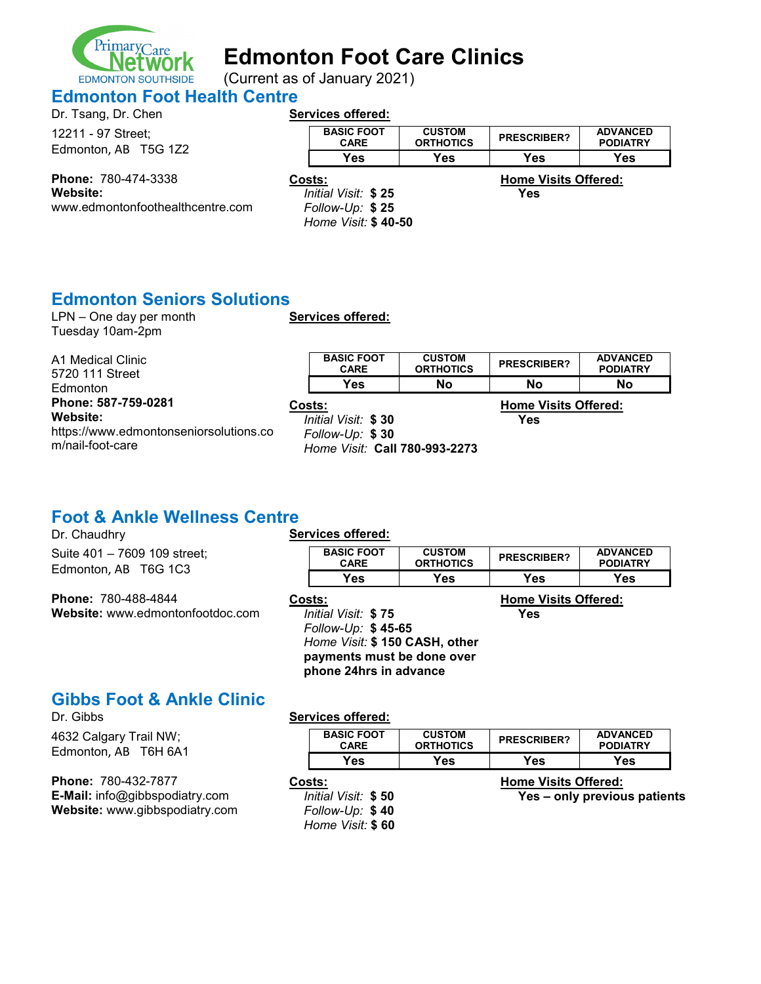

(Current as of January 2021) **EDMONTON SOUTHSIDE** 

### **Edmonton Foot Health Centre**<br>Pr Teaps Dr Chap

| DI. ISANG, DI. CHEN  |  |
|----------------------|--|
| 12211 - 97 Street;   |  |
| Edmonton, AB T5G 1Z2 |  |

| Lationwitch, ND 1001LL     |  |  |  |
|----------------------------|--|--|--|
| <b>Phone: 780-474-3338</b> |  |  |  |
|                            |  |  |  |

**Website:** www.edmontonfoothealthcentre.com

#### **Services offered:**

|                     | <b>BASIC FOOT</b><br><b>CARE</b> | <b>CUSTOM</b><br><b>ORTHOTICS</b> | <b>PRESCRIBER?</b>          | <b>ADVANCED</b><br><b>PODIATRY</b> |
|---------------------|----------------------------------|-----------------------------------|-----------------------------|------------------------------------|
|                     | Yes                              | Yes                               | Yes                         | Yes                                |
|                     | Costs:                           |                                   | <b>Home Visits Offered:</b> |                                    |
| Initial Visit: \$25 |                                  |                                   | Yes                         |                                    |
| Follow-Up: \$25     |                                  |                                   |                             |                                    |
| Home Visit: \$40-50 |                                  |                                   |                             |                                    |

#### **Edmonton Seniors Solutions**

LPN – One day per month Tuesday 10am-2pm

**Services offered:**

| A1 Medical Clinic<br>5720 111 Street   |        | <b>BASIC FOOT</b><br><b>CARE</b> | <b>CUSTOM</b><br><b>ORTHOTICS</b> | <b>PRESCRIBER?</b>          | <b>ADVANCED</b><br><b>PODIATRY</b> |
|----------------------------------------|--------|----------------------------------|-----------------------------------|-----------------------------|------------------------------------|
| Edmonton                               |        | Yes                              | No                                | No                          | No                                 |
| Phone: 587-759-0281                    | Costs: |                                  |                                   | <b>Home Visits Offered:</b> |                                    |
| Website:                               |        | Initial Visit: \$30              |                                   | Yes                         |                                    |
| https://www.edmontonseniorsolutions.co |        | Follow-Up: \$30                  |                                   |                             |                                    |
| m/nail-foot-care                       |        | Home Visit: Call 780-993-2273    |                                   |                             |                                    |

#### **Foot & Ankle Wellness Centre**

| Dr. Chaudhry                                                   | Services offered:                                                                                                                            |                                   |                                    |                                    |
|----------------------------------------------------------------|----------------------------------------------------------------------------------------------------------------------------------------------|-----------------------------------|------------------------------------|------------------------------------|
| Suite 401 - 7609 109 street;<br>Edmonton, AB T6G 1C3           | <b>BASIC FOOT</b><br><b>CARE</b>                                                                                                             | <b>CUSTOM</b><br><b>ORTHOTICS</b> | <b>PRESCRIBER?</b>                 | <b>ADVANCED</b><br><b>PODIATRY</b> |
|                                                                | Yes                                                                                                                                          | Yes                               | Yes                                | Yes                                |
| <b>Phone: 780-488-4844</b><br>Website: www.edmontonfootdoc.com | Costs:<br>Initial Visit: \$75<br>Follow-Up: \$45-65<br>Home Visit: \$150 CASH, other<br>payments must be done over<br>phone 24hrs in advance |                                   | <b>Home Visits Offered:</b><br>Yes |                                    |

# **Gibbs Foot & Ankle Clinic**

4632 Calgary Trail NW; Edmonton, AB T6H 6A1

**Phone:** 780-432-7877 **E-Mail:** info@gibbspodiatry.com **Website:** www.gibbspodiatry.com

#### **Services offered:**

| <b>BASIC FOOT</b> | <b>CUSTOM</b>    | <b>PRESCRIBER?</b> | <b>ADVANCED</b> |
|-------------------|------------------|--------------------|-----------------|
| <b>CARE</b>       | <b>ORTHOTICS</b> |                    | <b>PODIATRY</b> |
| Yes.              | Yes              | Yes                | Yes.            |

- - *Follow-Up:* **\$ 40** *Home Visit:* **\$ 60**

**Costs:**<br> **Costs:**<br> **Costs:**<br> **Costs:**<br> **Costs:**<br> **Costs:**<br> **Costs:**<br> **Costs:**<br> **Costs:**<br> **Costs:**<br> **Costs:**<br> **Costs:**<br> **Costs:**<br> **Costs:** *Initial Visit:* **\$ 50 Yes – only previous patients**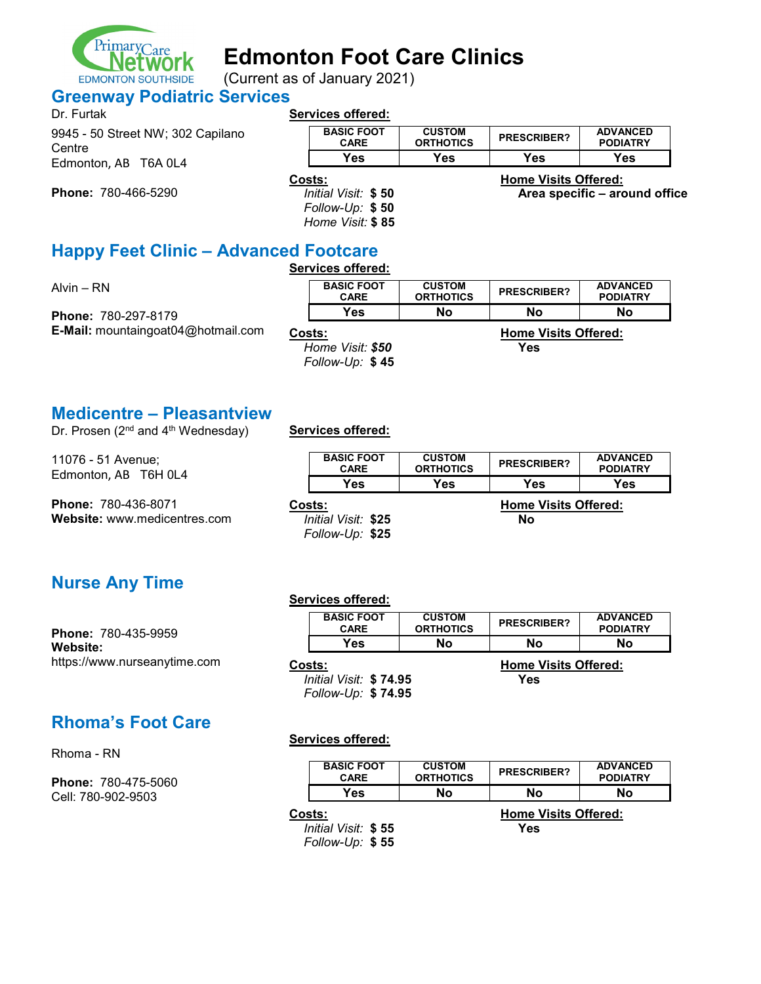

(Current as of January 2021)

#### **Greenway Podiatric Services**

| Dr. Furtak                                  |        | <b>Services offered:</b>               |                                   |                             |                                    |
|---------------------------------------------|--------|----------------------------------------|-----------------------------------|-----------------------------|------------------------------------|
| 9945 - 50 Street NW; 302 Capilano<br>Centre |        | <b>BASIC FOOT</b><br><b>CARE</b>       | <b>CUSTOM</b><br><b>ORTHOTICS</b> | <b>PRESCRIBER?</b>          | <b>ADVANCED</b><br><b>PODIATRY</b> |
| Edmonton, AB T6A 0L4                        |        | Yes                                    | Yes                               | Yes                         | Yes                                |
| <b>Phone: 780-466-5290</b>                  | Costs: | Initial Visit: \$50<br>Follow-Up: \$50 |                                   | <b>Home Visits Offered:</b> | Area specific - around office      |

**Happy Feet Clinic – Advanced Footcare**

#### **Services offered:**

*Home Visit:* **\$ 85**

| Alvin – RN                                | <b>BASIC FOOT</b><br><b>CARE</b>    | <b>CUSTOM</b><br><b>ORTHOTICS</b> | <b>PRESCRIBER?</b>          | <b>ADVANCED</b><br><b>PODIATRY</b> |
|-------------------------------------------|-------------------------------------|-----------------------------------|-----------------------------|------------------------------------|
| <b>Phone: 780-297-8179</b>                | Yes                                 | No                                | No                          | No                                 |
| <b>E-Mail:</b> mountaingoat04@hotmail.com | Costs:                              |                                   | <b>Home Visits Offered:</b> |                                    |
|                                           | Home Visit: \$50<br>Follow-Up: \$45 |                                   | Yes                         |                                    |

#### **Medicentre – Pleasantview**

Dr. Prosen (2<sup>nd</sup> and 4<sup>th</sup> Wednesday) **Services offered:** 

11076 - 51 Avenue; Edmonton, AB T6H 0L4

**Nurse Any Time**

**Phone:** 780-435-9959

**Phone:** 780-436-8071 **Website:** www.medicentres.com

| <b>BASIC FOOT</b>   | <b>CUSTOM</b>    | <b>PRESCRIBER?</b>          | <b>ADVANCED</b> |
|---------------------|------------------|-----------------------------|-----------------|
| <b>CARE</b>         | <b>ORTHOTICS</b> |                             | <b>PODIATRY</b> |
| Yes                 | Yes              | Yes                         | Yes             |
| Costs:              |                  | <b>Home Visits Offered:</b> |                 |
| Initial Visit: \$25 |                  | No                          |                 |
| Follow-Up: \$25     |                  |                             |                 |

#### **Services offered:**

| <b>BASIC FOOT</b><br><b>CARE</b> | <b>CUSTOM</b><br><b>ORTHOTICS</b> | <b>PRESCRIBER?</b>          | <b>ADVANCED</b><br><b>PODIATRY</b> |  |
|----------------------------------|-----------------------------------|-----------------------------|------------------------------------|--|
| Yes                              | No                                | No                          | No                                 |  |
| Costs:                           |                                   | <b>Home Visits Offered:</b> |                                    |  |
| Initial Visit: \$74.95           |                                   | Yes                         |                                    |  |
| Follow-Up: \$74.95               |                                   |                             |                                    |  |

### **Rhoma's Foot Care**

https://www.nurseanytime.com

Rhoma - RN

**Website:**

**Phone:** 780-475-5060 Cell: 780-902-9503

#### **Services offered:**

| <b>BASIC FOOT</b><br><b>CARE</b> | <b>CUSTOM</b><br><b>ORTHOTICS</b> | <b>PRESCRIBER?</b>          | <b>ADVANCED</b><br><b>PODIATRY</b> |
|----------------------------------|-----------------------------------|-----------------------------|------------------------------------|
| Yes                              | Nο                                | Nο                          | Nο                                 |
| Costs:                           |                                   | <b>Home Visits Offered:</b> |                                    |

*Initial Visit:* **\$ 55 Yes** *Follow-Up:* **\$ 55**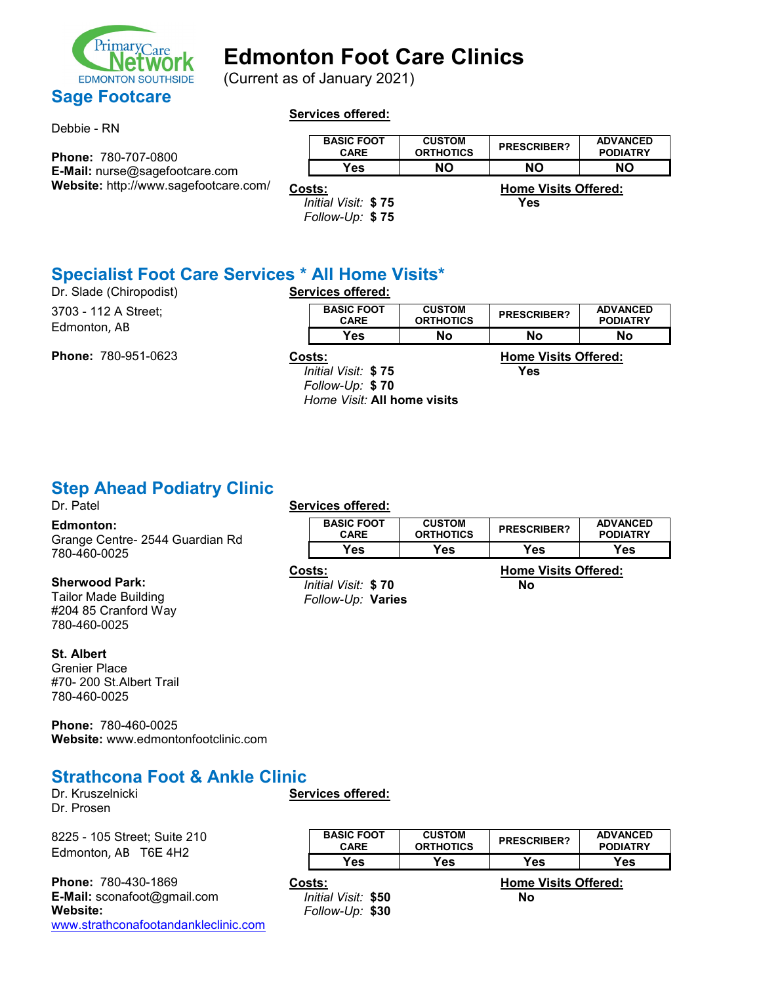

(Current as of January 2021)

#### Debbie - RN

#### **Services offered:**

| <b>Phone: 780-707-0800</b>            | <b>BASIC FOOT</b><br><b>CARE</b> | <b>CUSTOM</b><br><b>ORTHOTICS</b> | <b>PRESCRIBER?</b>                 | <b>ADVANCED</b><br><b>PODIATRY</b> |
|---------------------------------------|----------------------------------|-----------------------------------|------------------------------------|------------------------------------|
| <b>E-Mail:</b> nurse@sagefootcare.com | Yes                              | NΟ                                | NΟ                                 | <b>NO</b>                          |
| Website: http://www.sagefootcare.com/ | Costs:<br>Initial Visit: \$75    |                                   | <b>Home Visits Offered:</b><br>Yes |                                    |

*Follow-Up:* **\$ 75**

# **Specialist Foot Care Services \* All Home Visits\***

Dr. Slade (Chiropodist) 3703 - 112 A Street; Edmonton, AB

**Phone:** 780-951-0623

|               | <b>BASIC FOOT</b><br><b>CARE</b> | <b>CUSTOM</b><br><b>ORTHOTICS</b> | <b>PRESCRIBER?</b>                                                                                                                                                                                                                                                                                                                                            | <b>ADVANCED</b><br><b>PODIATRY</b> |
|---------------|----------------------------------|-----------------------------------|---------------------------------------------------------------------------------------------------------------------------------------------------------------------------------------------------------------------------------------------------------------------------------------------------------------------------------------------------------------|------------------------------------|
|               | Yes⊹                             | Nο                                | No                                                                                                                                                                                                                                                                                                                                                            | No.                                |
| $\sim$ $\sim$ |                                  |                                   | $\cdots$ , $\cdots$ , $\cdots$ , $\cdots$ , $\cdots$ , $\cdots$ , $\cdots$ , $\cdots$ , $\cdots$ , $\cdots$ , $\cdots$ , $\cdots$ , $\cdots$ , $\cdots$ , $\cdots$ , $\cdots$ , $\cdots$ , $\cdots$ , $\cdots$ , $\cdots$ , $\cdots$ , $\cdots$ , $\cdots$ , $\cdots$ , $\cdots$ , $\cdots$ , $\cdots$ , $\cdots$ , $\cdots$ , $\cdots$ , $\cdots$ , $\cdots$ |                                    |

*Initial Visit:* **\$ 75 Yes** *Follow-Up:* **\$ 70** *Home Visit:* **All home visits**

**Costs: Home Visits Offered:**

# **Step Ahead Podiatry Clinic**<br>Dr. Patel

#### **Edmonton:**

Grange Centre- 2544 Guardian Rd 780-460-0025

#### **Sherwood Park:**

Tailor Made Building #204 85 Cranford Way 780-460-0025

#### **St. Albert**

Grenier Place #70- 200 St.Albert Trail 780-460-0025

**Phone:** 780-460-0025 **Website:** www.edmontonfootclinic.com

#### **Strathcona Foot & Ankle Clinic**

Dr. Kruszelnicki Dr. Prosen

8225 - 105 Street; Suite 210 Edmonton, AB T6E 4H2

**Phone:** 780-430-1869 **E-Mail:** sconafoot@gmail.com **Website:** [www.strathconafootandankleclinic.com](http://www.strathconafootandankleclinic.com/)

#### Services offered:

| Costs:                           | <b>Home Visits Offered:</b>       |                    |                                    |  |  |
|----------------------------------|-----------------------------------|--------------------|------------------------------------|--|--|
| Yes                              | Yes                               | Yes                | Yes                                |  |  |
| <b>BASIC FOOT</b><br><b>CARE</b> | <b>CUSTOM</b><br><b>ORTHOTICS</b> | <b>PRESCRIBER?</b> | <b>ADVANCED</b><br><b>PODIATRY</b> |  |  |

*Initial Visit:* **\$ 70 No** *Follow-Up:* **Varies**

**Services offered:**

| <b>BASIC FOOT</b><br><b>CARE</b>                 | <b>CUSTOM</b><br><b>ORTHOTICS</b> | <b>PRESCRIBER?</b>                | <b>ADVANCED</b><br><b>PODIATRY</b> |
|--------------------------------------------------|-----------------------------------|-----------------------------------|------------------------------------|
| Yes                                              | Yes                               | <b>Yes</b>                        | Yes                                |
| Costs:<br>Initial Visit: \$50<br>Follow-Up: \$30 |                                   | <b>Home Visits Offered:</b><br>No |                                    |